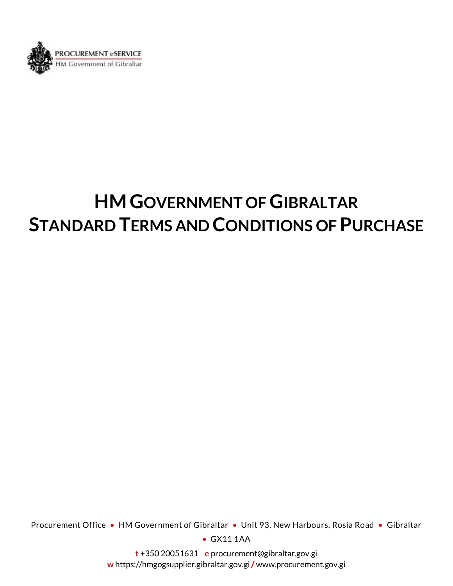

# **HMGOVERNMENT OF GIBRALTAR STANDARD TERMS AND CONDITIONS OF PURCHASE**

Procurement Office • HM Government of Gibraltar • Unit 93, New Harbours, Rosia Road • Gibraltar

• GX11 1AA

**t** +350 20051631 **e** procurement@gibraltar.gov.gi **w** https://hmgogsupplier.gibraltar.gov.gi/ www.procurement.gov.gi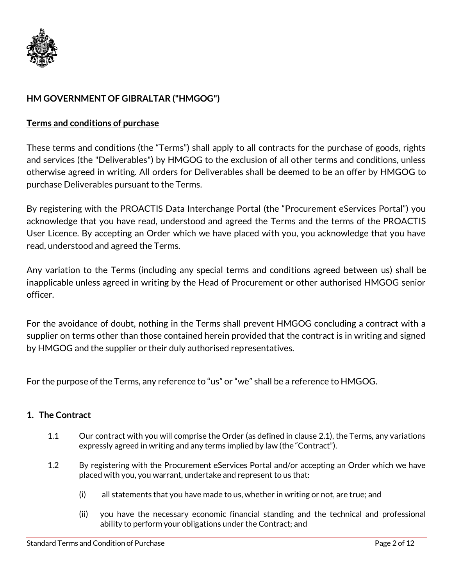

# **HM GOVERNMENT OF GIBRALTAR ("HMGOG")**

## **Terms and conditions of purchase**

These terms and conditions (the "Terms") shall apply to all contracts for the purchase of goods, rights and services (the "Deliverables") by HMGOG to the exclusion of all other terms and conditions, unless otherwise agreed in writing. All orders for Deliverables shall be deemed to be an offer by HMGOG to purchase Deliverables pursuant to the Terms.

By registering with the PROACTIS Data Interchange Portal (the "Procurement eServices Portal") you acknowledge that you have read, understood and agreed the Terms and the terms of the PROACTIS User Licence. By accepting an Order which we have placed with you, you acknowledge that you have read, understood and agreed the Terms.

Any variation to the Terms (including any special terms and conditions agreed between us) shall be inapplicable unless agreed in writing by the Head of Procurement or other authorised HMGOG senior officer.

For the avoidance of doubt, nothing in the Terms shall prevent HMGOG concluding a contract with a supplier on terms other than those contained herein provided that the contract is in writing and signed by HMGOG and the supplier or their duly authorised representatives.

For the purpose of the Terms, any reference to "us" or "we" shall be a reference to HMGOG.

#### **1. The Contract**

- 1.1 Our contract with you will comprise the Order (as defined in clause 2.1), the Terms, any variations expressly agreed in writing and any terms implied by law (the "Contract").
- 1.2 By registering with the Procurement eServices Portal and/or accepting an Order which we have placed with you, you warrant, undertake and represent to us that:
	- (i) all statements that you have made to us, whether in writing or not, are true; and
	- (ii) you have the necessary economic financial standing and the technical and professional ability to perform your obligations under the Contract; and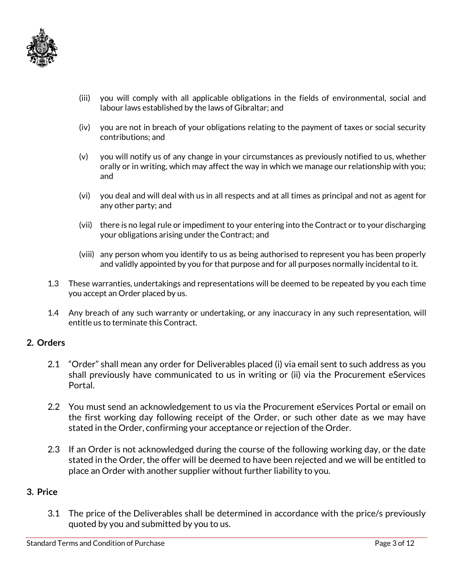

- (iii) you will comply with all applicable obligations in the fields of environmental, social and labour laws established by the laws of Gibraltar; and
- (iv) you are not in breach of your obligations relating to the payment of taxes or social security contributions; and
- (v) you will notify us of any change in your circumstances as previously notified to us, whether orally or in writing, which may affect the way in which we manage our relationship with you; and
- (vi) you deal and will deal with us in all respects and at all times as principal and not as agent for any other party; and
- (vii) there is no legal rule or impediment to your entering into the Contract or to your discharging your obligations arising under the Contract; and
- (viii) any person whom you identify to us as being authorised to represent you has been properly and validly appointed by you for that purpose and for all purposes normally incidental to it.
- 1.3 These warranties, undertakings and representations will be deemed to be repeated by you each time you accept an Order placed by us.
- 1.4 Any breach of any such warranty or undertaking, or any inaccuracy in any such representation, will entitle us to terminate this Contract.

#### **2. Orders**

- 2.1 "Order" shall mean any order for Deliverables placed (i) via email sent to such address as you shall previously have communicated to us in writing or (ii) via the Procurement eServices Portal.
- 2.2 You must send an acknowledgement to us via the Procurement eServices Portal or email on the first working day following receipt of the Order, or such other date as we may have stated in the Order, confirming your acceptance or rejection of the Order.
- 2.3 If an Order is not acknowledged during the course of the following working day, or the date stated in the Order, the offer will be deemed to have been rejected and we will be entitled to place an Order with another supplier without further liability to you.

#### **3. Price**

3.1 The price of the Deliverables shall be determined in accordance with the price/s previously quoted by you and submitted by you to us.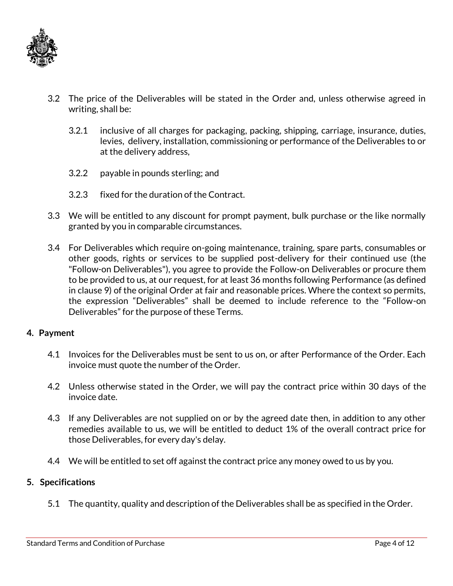

- 3.2 The price of the Deliverables will be stated in the Order and, unless otherwise agreed in writing, shall be:
	- 3.2.1 inclusive of all charges for packaging, packing, shipping, carriage, insurance, duties, levies, delivery, installation, commissioning or performance of the Deliverables to or at the delivery address,
	- 3.2.2 payable in pounds sterling; and
	- 3.2.3 fixed for the duration of the Contract.
- 3.3 We will be entitled to any discount for prompt payment, bulk purchase or the like normally granted by you in comparable circumstances.
- 3.4 For Deliverables which require on-going maintenance, training, spare parts, consumables or other goods, rights or services to be supplied post-delivery for their continued use (the "Follow-on Deliverables"), you agree to provide the Follow-on Deliverables or procure them to be provided to us, at our request, for at least 36 months following Performance (as defined in clause 9) of the original Order at fair and reasonable prices. Where the context so permits, the expression "Deliverables" shall be deemed to include reference to the "Follow-on Deliverables" for the purpose of these Terms.

#### **4. Payment**

- 4.1 Invoices for the Deliverables must be sent to us on, or after Performance of the Order. Each invoice must quote the number of the Order.
- 4.2 Unless otherwise stated in the Order, we will pay the contract price within 30 days of the invoice date.
- 4.3 If any Deliverables are not supplied on or by the agreed date then, in addition to any other remedies available to us, we will be entitled to deduct 1% of the overall contract price for those Deliverables, for every day's delay.
- 4.4 We will be entitled to set off against the contract price any money owed to us by you.

#### **5. Specifications**

5.1 The quantity, quality and description of the Deliverables shall be as specified in the Order.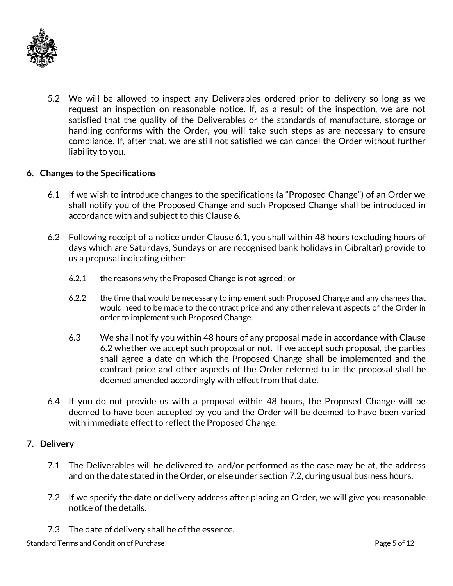

5.2 We will be allowed to inspect any Deliverables ordered prior to delivery so long as we request an inspection on reasonable notice. If, as a result of the inspection, we are not satisfied that the quality of the Deliverables or the standards of manufacture, storage or handling conforms with the Order, you will take such steps as are necessary to ensure compliance. If, after that, we are still not satisfied we can cancel the Order without further liability to you.

# **6. Changes to the Specifications**

- 6.1 If we wish to introduce changes to the specifications (a "Proposed Change") of an Order we shall notify you of the Proposed Change and such Proposed Change shall be introduced in accordance with and subject to this Clause 6.
- 6.2 Following receipt of a notice under Clause 6.1, you shall within 48 hours (excluding hours of days which are Saturdays, Sundays or are recognised bank holidays in Gibraltar) provide to us a proposal indicating either:
	- 6.2.1 the reasons why the Proposed Change is not agreed ; or
	- 6.2.2 the time that would be necessary to implement such Proposed Change and any changes that would need to be made to the contract price and any other relevant aspects of the Order in order to implement such Proposed Change.
	- 6.3 We shall notify you within 48 hours of any proposal made in accordance with Clause 6.2 whether we accept such proposal or not. If we accept such proposal, the parties shall agree a date on which the Proposed Change shall be implemented and the contract price and other aspects of the Order referred to in the proposal shall be deemed amended accordingly with effect from that date.
- 6.4 If you do not provide us with a proposal within 48 hours, the Proposed Change will be deemed to have been accepted by you and the Order will be deemed to have been varied with immediate effect to reflect the Proposed Change.

#### **7. Delivery**

- 7.1 The Deliverables will be delivered to, and/or performed as the case may be at, the address and on the date stated in the Order, or else under section 7.2, during usual business hours.
- 7.2 If we specify the date or delivery address after placing an Order, we will give you reasonable notice of the details.
- 7.3 The date of delivery shall be of the essence.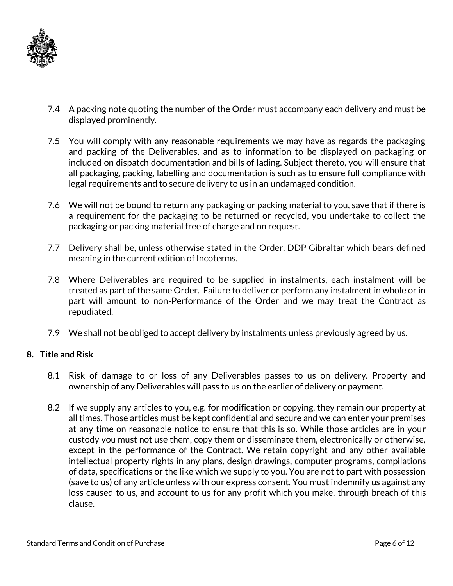

- 7.4 A packing note quoting the number of the Order must accompany each delivery and must be displayed prominently.
- 7.5 You will comply with any reasonable requirements we may have as regards the packaging and packing of the Deliverables, and as to information to be displayed on packaging or included on dispatch documentation and bills of lading. Subject thereto, you will ensure that all packaging, packing, labelling and documentation is such as to ensure full compliance with legal requirements and to secure delivery to us in an undamaged condition.
- 7.6 We will not be bound to return any packaging or packing material to you, save that if there is a requirement for the packaging to be returned or recycled, you undertake to collect the packaging or packing material free of charge and on request.
- 7.7 Delivery shall be, unless otherwise stated in the Order, DDP Gibraltar which bears defined meaning in the current edition of Incoterms.
- 7.8 Where Deliverables are required to be supplied in instalments, each instalment will be treated as part of the same Order. Failure to deliver or perform any instalment in whole or in part will amount to non-Performance of the Order and we may treat the Contract as repudiated.
- 7.9 We shall not be obliged to accept delivery by instalments unless previously agreed by us.

#### **8. Title and Risk**

- 8.1 Risk of damage to or loss of any Deliverables passes to us on delivery. Property and ownership of any Deliverables will pass to us on the earlier of delivery or payment.
- 8.2 If we supply any articles to you, e.g. for modification or copying, they remain our property at all times. Those articles must be kept confidential and secure and we can enter your premises at any time on reasonable notice to ensure that this is so. While those articles are in your custody you must not use them, copy them or disseminate them, electronically or otherwise, except in the performance of the Contract. We retain copyright and any other available intellectual property rights in any plans, design drawings, computer programs, compilations of data, specifications or the like which we supply to you. You are not to part with possession (save to us) of any article unless with our express consent. You must indemnify us against any loss caused to us, and account to us for any profit which you make, through breach of this clause.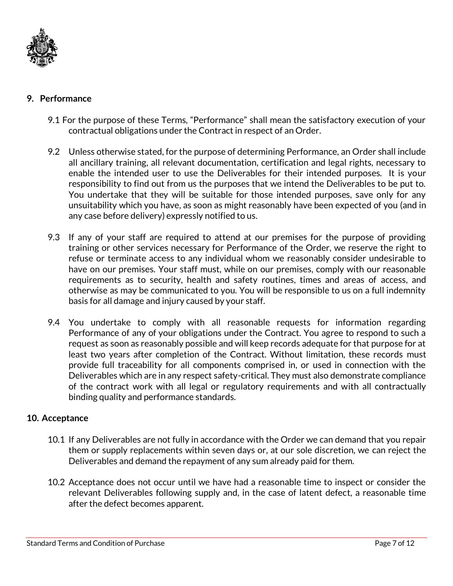

## **9. Performance**

- 9.1 For the purpose of these Terms, "Performance" shall mean the satisfactory execution of your contractual obligations under the Contract in respect of an Order.
- 9.2 Unless otherwise stated, for the purpose of determining Performance, an Order shall include all ancillary training, all relevant documentation, certification and legal rights, necessary to enable the intended user to use the Deliverables for their intended purposes. It is your responsibility to find out from us the purposes that we intend the Deliverables to be put to. You undertake that they will be suitable for those intended purposes, save only for any unsuitability which you have, as soon as might reasonably have been expected of you (and in any case before delivery) expressly notified to us.
- 9.3 If any of your staff are required to attend at our premises for the purpose of providing training or other services necessary for Performance of the Order, we reserve the right to refuse or terminate access to any individual whom we reasonably consider undesirable to have on our premises. Your staff must, while on our premises, comply with our reasonable requirements as to security, health and safety routines, times and areas of access, and otherwise as may be communicated to you. You will be responsible to us on a full indemnity basis for all damage and injury caused by your staff.
- 9.4 You undertake to comply with all reasonable requests for information regarding Performance of any of your obligations under the Contract. You agree to respond to such a request as soon as reasonably possible and will keep records adequate for that purpose for at least two years after completion of the Contract. Without limitation, these records must provide full traceability for all components comprised in, or used in connection with the Deliverables which are in any respect safety-critical. They must also demonstrate compliance of the contract work with all legal or regulatory requirements and with all contractually binding quality and performance standards.

#### **10. Acceptance**

- 10.1 If any Deliverables are not fully in accordance with the Order we can demand that you repair them or supply replacements within seven days or, at our sole discretion, we can reject the Deliverables and demand the repayment of any sum already paid for them.
- 10.2 Acceptance does not occur until we have had a reasonable time to inspect or consider the relevant Deliverables following supply and, in the case of latent defect, a reasonable time after the defect becomes apparent.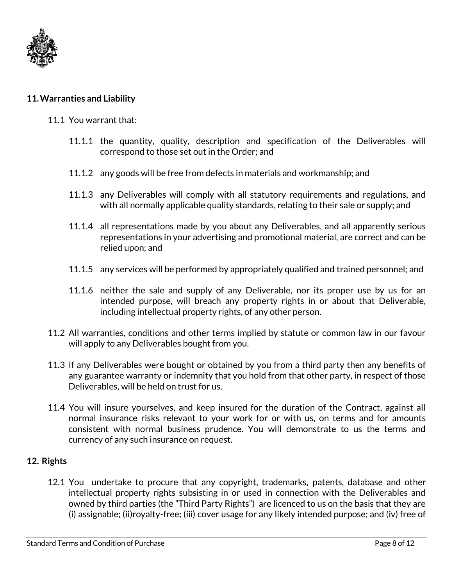

# **11.Warranties and Liability**

#### 11.1 You warrant that:

- 11.1.1 the quantity, quality, description and specification of the Deliverables will correspond to those set out in the Order; and
- 11.1.2 any goods will be free from defects in materials and workmanship; and
- 11.1.3 any Deliverables will comply with all statutory requirements and regulations, and with all normally applicable quality standards, relating to their sale or supply; and
- 11.1.4 all representations made by you about any Deliverables, and all apparently serious representations in your advertising and promotional material, are correct and can be relied upon; and
- 11.1.5 any services will be performed by appropriately qualified and trained personnel; and
- 11.1.6 neither the sale and supply of any Deliverable, nor its proper use by us for an intended purpose, will breach any property rights in or about that Deliverable, including intellectual property rights, of any other person.
- 11.2 All warranties, conditions and other terms implied by statute or common law in our favour will apply to any Deliverables bought from you.
- 11.3 If any Deliverables were bought or obtained by you from a third party then any benefits of any guarantee warranty or indemnity that you hold from that other party, in respect of those Deliverables, will be held on trust for us.
- 11.4 You will insure yourselves, and keep insured for the duration of the Contract, against all normal insurance risks relevant to your work for or with us, on terms and for amounts consistent with normal business prudence. You will demonstrate to us the terms and currency of any such insurance on request.

#### **12. Rights**

12.1 You undertake to procure that any copyright, trademarks, patents, database and other intellectual property rights subsisting in or used in connection with the Deliverables and owned by third parties (the "Third Party Rights") are licenced to us on the basis that they are (i) assignable; (ii)royalty-free; (iii) cover usage for any likely intended purpose; and (iv) free of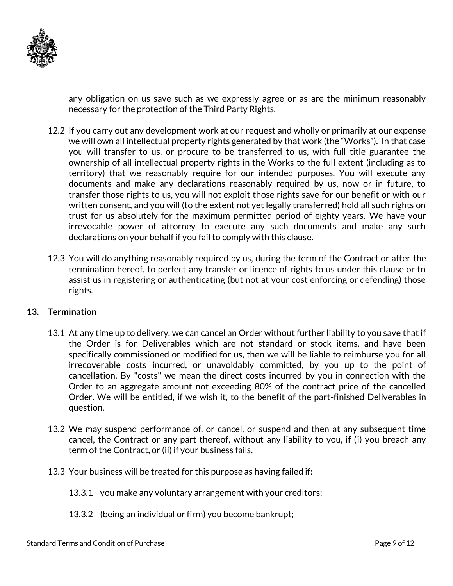

any obligation on us save such as we expressly agree or as are the minimum reasonably necessary for the protection of the Third Party Rights.

- 12.2 If you carry out any development work at our request and wholly or primarily at our expense we will own all intellectual property rights generated by that work (the "Works"). In that case you will transfer to us, or procure to be transferred to us, with full title guarantee the ownership of all intellectual property rights in the Works to the full extent (including as to territory) that we reasonably require for our intended purposes. You will execute any documents and make any declarations reasonably required by us, now or in future, to transfer those rights to us, you will not exploit those rights save for our benefit or with our written consent, and you will (to the extent not yet legally transferred) hold all such rights on trust for us absolutely for the maximum permitted period of eighty years. We have your irrevocable power of attorney to execute any such documents and make any such declarations on your behalf if you fail to comply with this clause.
- 12.3 You will do anything reasonably required by us, during the term of the Contract or after the termination hereof, to perfect any transfer or licence of rights to us under this clause or to assist us in registering or authenticating (but not at your cost enforcing or defending) those rights.

#### **13. Termination**

- 13.1 At any time up to delivery, we can cancel an Order without further liability to you save that if the Order is for Deliverables which are not standard or stock items, and have been specifically commissioned or modified for us, then we will be liable to reimburse you for all irrecoverable costs incurred, or unavoidably committed, by you up to the point of cancellation. By "costs" we mean the direct costs incurred by you in connection with the Order to an aggregate amount not exceeding 80% of the contract price of the cancelled Order. We will be entitled, if we wish it, to the benefit of the part-finished Deliverables in question.
- 13.2 We may suspend performance of, or cancel, or suspend and then at any subsequent time cancel, the Contract or any part thereof, without any liability to you, if (i) you breach any term of the Contract, or (ii) if your business fails.
- 13.3 Your business will be treated for this purpose as having failed if:
	- 13.3.1 you make any voluntary arrangement with your creditors;
	- 13.3.2 (being an individual or firm) you become bankrupt;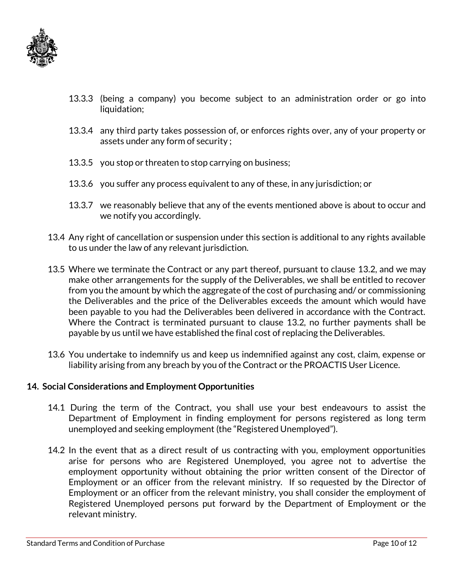

- 13.3.3 (being a company) you become subject to an administration order or go into liquidation;
- 13.3.4 any third party takes possession of, or enforces rights over, any of your property or assets under any form of security ;
- 13.3.5 you stop or threaten to stop carrying on business;
- 13.3.6 you suffer any process equivalent to any of these, in any jurisdiction; or
- 13.3.7 we reasonably believe that any of the events mentioned above is about to occur and we notify you accordingly.
- 13.4 Any right of cancellation or suspension under this section is additional to any rights available to us under the law of any relevant jurisdiction.
- 13.5 Where we terminate the Contract or any part thereof, pursuant to clause 13.2, and we may make other arrangements for the supply of the Deliverables, we shall be entitled to recover from you the amount by which the aggregate of the cost of purchasing and/ or commissioning the Deliverables and the price of the Deliverables exceeds the amount which would have been payable to you had the Deliverables been delivered in accordance with the Contract. Where the Contract is terminated pursuant to clause 13.2, no further payments shall be payable by us until we have established the final cost of replacing the Deliverables.
- 13.6 You undertake to indemnify us and keep us indemnified against any cost, claim, expense or liability arising from any breach by you of the Contract or the PROACTIS User Licence.

#### **14. Social Considerations and Employment Opportunities**

- 14.1 During the term of the Contract, you shall use your best endeavours to assist the Department of Employment in finding employment for persons registered as long term unemployed and seeking employment (the "Registered Unemployed").
- 14.2 In the event that as a direct result of us contracting with you, employment opportunities arise for persons who are Registered Unemployed, you agree not to advertise the employment opportunity without obtaining the prior written consent of the Director of Employment or an officer from the relevant ministry. If so requested by the Director of Employment or an officer from the relevant ministry, you shall consider the employment of Registered Unemployed persons put forward by the Department of Employment or the relevant ministry.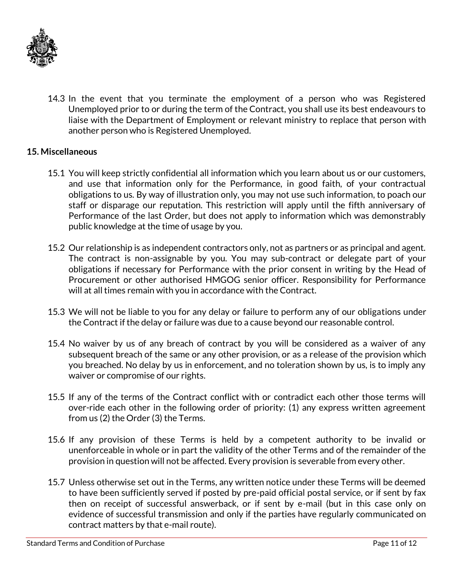

14.3 In the event that you terminate the employment of a person who was Registered Unemployed prior to or during the term of the Contract, you shall use its best endeavours to liaise with the Department of Employment or relevant ministry to replace that person with another person who is Registered Unemployed.

# **15. Miscellaneous**

- 15.1 You will keep strictly confidential all information which you learn about us or our customers, and use that information only for the Performance, in good faith, of your contractual obligations to us. By way of illustration only, you may not use such information, to poach our staff or disparage our reputation. This restriction will apply until the fifth anniversary of Performance of the last Order, but does not apply to information which was demonstrably public knowledge at the time of usage by you.
- 15.2 Our relationship is as independent contractors only, not as partners or as principal and agent. The contract is non-assignable by you. You may sub-contract or delegate part of your obligations if necessary for Performance with the prior consent in writing by the Head of Procurement or other authorised HMGOG senior officer. Responsibility for Performance will at all times remain with you in accordance with the Contract.
- 15.3 We will not be liable to you for any delay or failure to perform any of our obligations under the Contract if the delay or failure was due to a cause beyond our reasonable control.
- 15.4 No waiver by us of any breach of contract by you will be considered as a waiver of any subsequent breach of the same or any other provision, or as a release of the provision which you breached. No delay by us in enforcement, and no toleration shown by us, is to imply any waiver or compromise of our rights.
- 15.5 If any of the terms of the Contract conflict with or contradict each other those terms will over-ride each other in the following order of priority: (1) any express written agreement from us (2) the Order (3) the Terms.
- 15.6 If any provision of these Terms is held by a competent authority to be invalid or unenforceable in whole or in part the validity of the other Terms and of the remainder of the provision in question will not be affected. Every provision is severable from every other.
- 15.7 Unless otherwise set out in the Terms, any written notice under these Terms will be deemed to have been sufficiently served if posted by pre-paid official postal service, or if sent by fax then on receipt of successful answerback, or if sent by e-mail (but in this case only on evidence of successful transmission and only if the parties have regularly communicated on contract matters by that e-mail route).